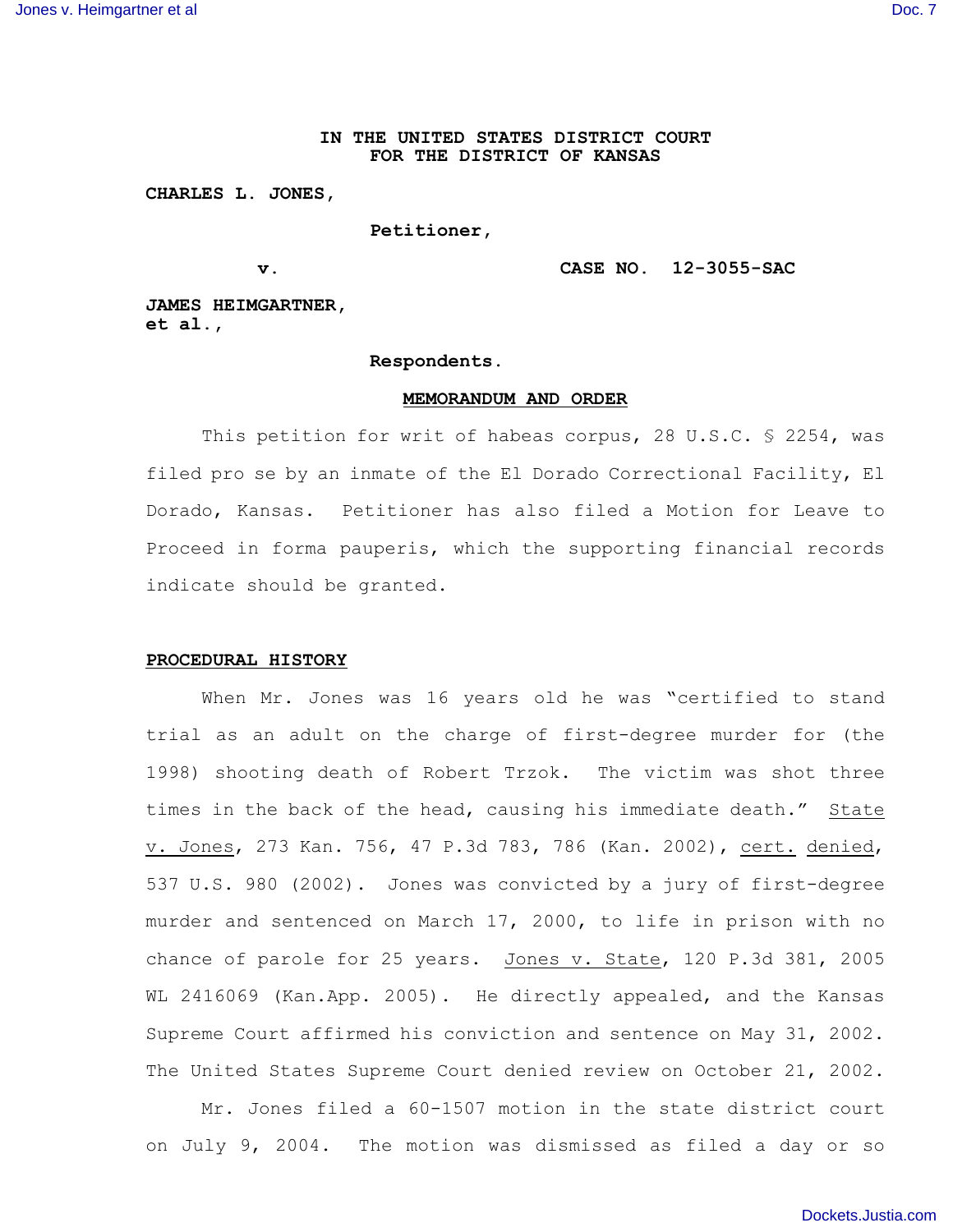# **IN THE UNITED STATES DISTRICT COURT FOR THE DISTRICT OF KANSAS**

### **CHARLES L. JONES,**

# **Petitioner,**

## **v. CASE NO. 12-3055-SAC**

**JAMES HEIMGARTNER, et al.,**

### **Respondents.**

#### **MEMORANDUM AND ORDER**

This petition for writ of habeas corpus, 28 U.S.C. § 2254, was filed pro se by an inmate of the El Dorado Correctional Facility, El Dorado, Kansas. Petitioner has also filed a Motion for Leave to Proceed in forma pauperis, which the supporting financial records indicate should be granted.

# **PROCEDURAL HISTORY**

When Mr. Jones was 16 years old he was "certified to stand trial as an adult on the charge of first-degree murder for (the 1998) shooting death of Robert Trzok. The victim was shot three times in the back of the head, causing his immediate death." State v. Jones, 273 Kan. 756, 47 P.3d 783, 786 (Kan. 2002), cert. denied, 537 U.S. 980 (2002). Jones was convicted by a jury of first-degree murder and sentenced on March 17, 2000, to life in prison with no chance of parole for 25 years. Jones v. State, 120 P.3d 381, 2005 WL 2416069 (Kan.App. 2005). He directly appealed, and the Kansas Supreme Court affirmed his conviction and sentence on May 31, 2002. The United States Supreme Court denied review on October 21, 2002.

Mr. Jones filed a 60-1507 motion in the state district court on July 9, 2004. The motion was dismissed as filed a day or so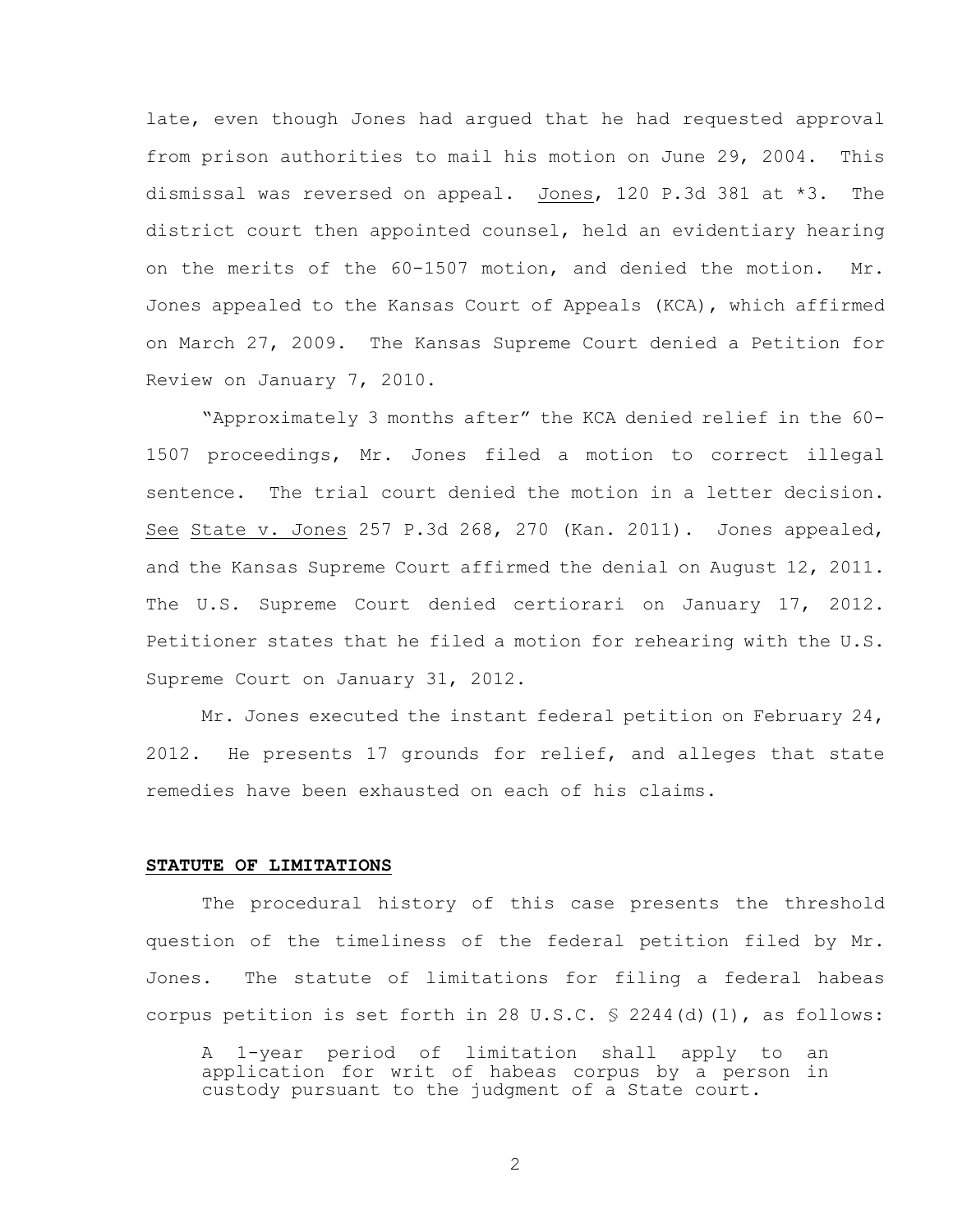late, even though Jones had argued that he had requested approval from prison authorities to mail his motion on June 29, 2004. This dismissal was reversed on appeal. Jones, 120 P.3d 381 at \*3. The district court then appointed counsel, held an evidentiary hearing on the merits of the 60-1507 motion, and denied the motion. Mr. Jones appealed to the Kansas Court of Appeals (KCA), which affirmed on March 27, 2009. The Kansas Supreme Court denied a Petition for Review on January 7, 2010.

"Approximately 3 months after" the KCA denied relief in the 60- 1507 proceedings, Mr. Jones filed a motion to correct illegal sentence. The trial court denied the motion in a letter decision. See State v. Jones 257 P.3d 268, 270 (Kan. 2011). Jones appealed, and the Kansas Supreme Court affirmed the denial on August 12, 2011. The U.S. Supreme Court denied certiorari on January 17, 2012. Petitioner states that he filed a motion for rehearing with the U.S. Supreme Court on January 31, 2012.

Mr. Jones executed the instant federal petition on February 24, 2012. He presents 17 grounds for relief, and alleges that state remedies have been exhausted on each of his claims.

### **STATUTE OF LIMITATIONS**

The procedural history of this case presents the threshold question of the timeliness of the federal petition filed by Mr. Jones. The statute of limitations for filing a federal habeas corpus petition is set forth in 28 U.S.C.  $\frac{1}{5}$  2244(d)(1), as follows:

A 1-year period of limitation shall apply to an application for writ of habeas corpus by a person in custody pursuant to the judgment of a State court.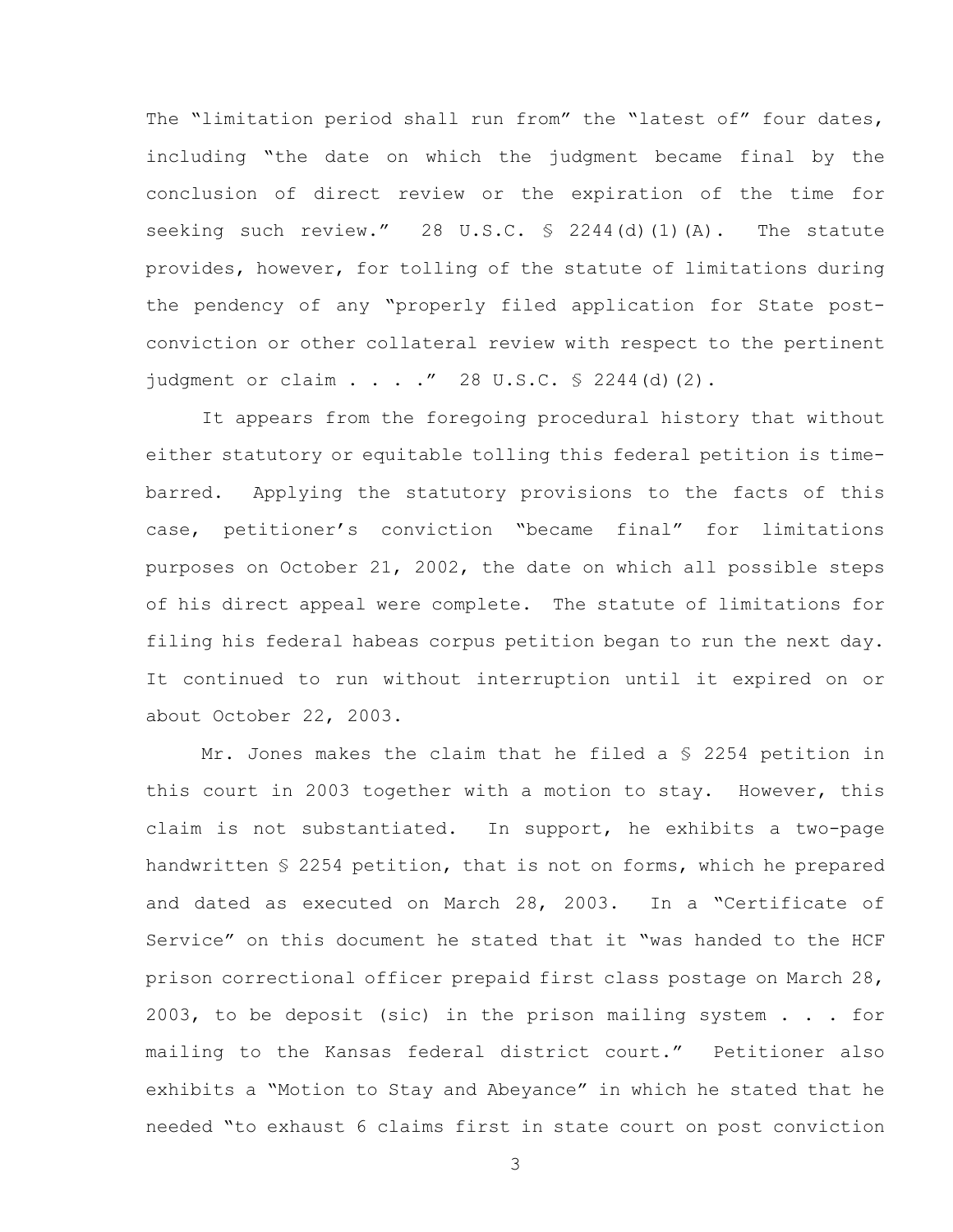The "limitation period shall run from" the "latest of" four dates, including "the date on which the judgment became final by the conclusion of direct review or the expiration of the time for seeking such review." 28 U.S.C. § 2244(d)(1)(A). The statute provides, however, for tolling of the statute of limitations during the pendency of any "properly filed application for State postconviction or other collateral review with respect to the pertinent judgment or claim . . . . " 28 U.S.C.  $\frac{6}{5}$  2244(d)(2).

It appears from the foregoing procedural history that without either statutory or equitable tolling this federal petition is timebarred. Applying the statutory provisions to the facts of this case, petitioner's conviction "became final" for limitations purposes on October 21, 2002, the date on which all possible steps of his direct appeal were complete. The statute of limitations for filing his federal habeas corpus petition began to run the next day. It continued to run without interruption until it expired on or about October 22, 2003.

Mr. Jones makes the claim that he filed a § 2254 petition in this court in 2003 together with a motion to stay. However, this claim is not substantiated. In support, he exhibits a two-page handwritten § 2254 petition, that is not on forms, which he prepared and dated as executed on March 28, 2003. In a "Certificate of Service" on this document he stated that it "was handed to the HCF prison correctional officer prepaid first class postage on March 28, 2003, to be deposit (sic) in the prison mailing system  $\ldots$  for mailing to the Kansas federal district court." Petitioner also exhibits a "Motion to Stay and Abeyance" in which he stated that he needed "to exhaust 6 claims first in state court on post conviction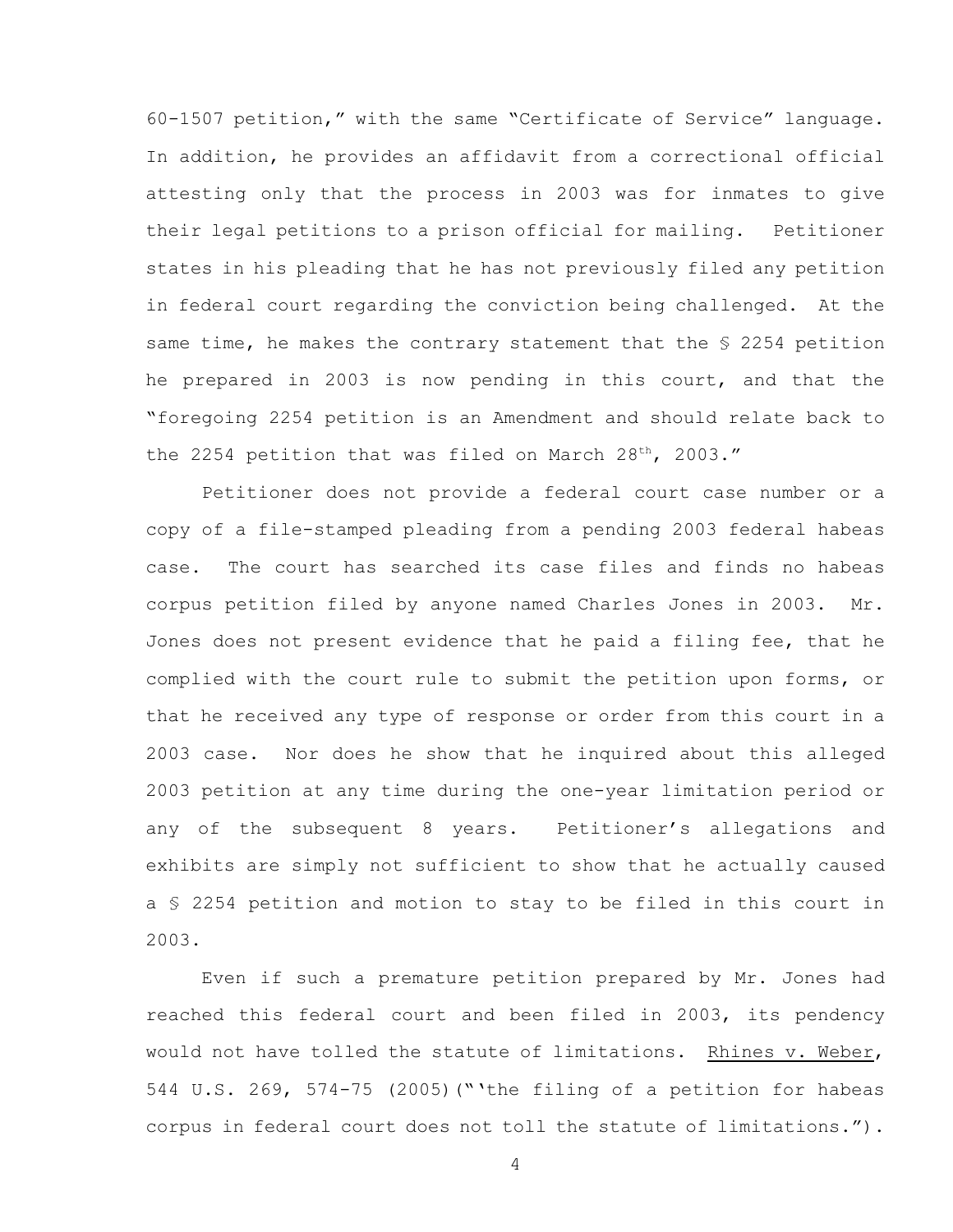60-1507 petition," with the same "Certificate of Service" language. In addition, he provides an affidavit from a correctional official attesting only that the process in 2003 was for inmates to give their legal petitions to a prison official for mailing. Petitioner states in his pleading that he has not previously filed any petition in federal court regarding the conviction being challenged. At the same time, he makes the contrary statement that the \$ 2254 petition he prepared in 2003 is now pending in this court, and that the "foregoing 2254 petition is an Amendment and should relate back to the 2254 petition that was filed on March 28<sup>th</sup>, 2003."

Petitioner does not provide a federal court case number or a copy of a file-stamped pleading from a pending 2003 federal habeas case. The court has searched its case files and finds no habeas corpus petition filed by anyone named Charles Jones in 2003. Mr. Jones does not present evidence that he paid a filing fee, that he complied with the court rule to submit the petition upon forms, or that he received any type of response or order from this court in a 2003 case. Nor does he show that he inquired about this alleged 2003 petition at any time during the one-year limitation period or any of the subsequent 8 years. Petitioner's allegations and exhibits are simply not sufficient to show that he actually caused a § 2254 petition and motion to stay to be filed in this court in 2003.

Even if such a premature petition prepared by Mr. Jones had reached this federal court and been filed in 2003, its pendency would not have tolled the statute of limitations. Rhines v. Weber, 544 U.S. 269, 574-75 (2005)("'the filing of a petition for habeas corpus in federal court does not toll the statute of limitations.").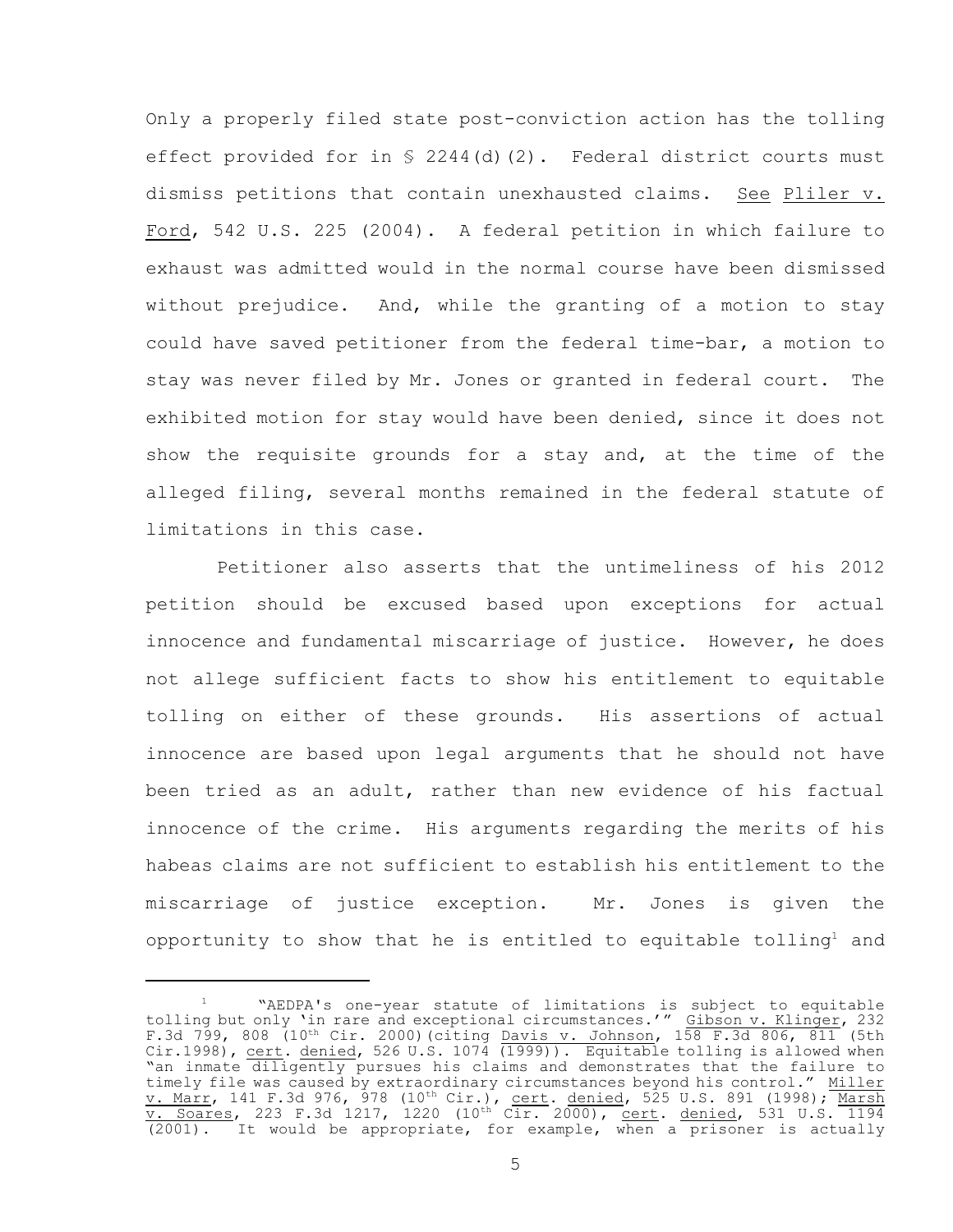Only a properly filed state post-conviction action has the tolling effect provided for in  $\frac{1}{2}$  2244(d)(2). Federal district courts must dismiss petitions that contain unexhausted claims. See Pliler v. Ford, 542 U.S. 225 (2004). A federal petition in which failure to exhaust was admitted would in the normal course have been dismissed without prejudice. And, while the granting of a motion to stay could have saved petitioner from the federal time-bar, a motion to stay was never filed by Mr. Jones or granted in federal court. The exhibited motion for stay would have been denied, since it does not show the requisite grounds for a stay and, at the time of the alleged filing, several months remained in the federal statute of limitations in this case.

Petitioner also asserts that the untimeliness of his 2012 petition should be excused based upon exceptions for actual innocence and fundamental miscarriage of justice. However, he does not allege sufficient facts to show his entitlement to equitable tolling on either of these grounds. His assertions of actual innocence are based upon legal arguments that he should not have been tried as an adult, rather than new evidence of his factual innocence of the crime. His arguments regarding the merits of his habeas claims are not sufficient to establish his entitlement to the miscarriage of justice exception. Mr. Jones is given the opportunity to show that he is entitled to equitable tolling<sup>1</sup> and

<sup>&</sup>quot;AEDPA's one-year statute of limitations is subject to equitable tolling but only 'in rare and exceptional circumstances.'" Gibson v. Klinger, 232 F.3d 799, 808 (10<sup>th</sup> Cir. 2000)(citing <u>Davis v. Johnson</u>, 158 F.3d 806, 811 (5th Cir.1998), <u>cert. denied</u>, 526 U.S. 1074 (1999)). Equitable tolling is allowed when "an inmate diligently pursues his claims and demonstrates that the failure to timely file was caused by extraordinary circumstances beyond his control." Miller <u>v. Marr</u>, 141 F.3d 976, 978 (10<sup>th</sup> Cir.), <u>cert</u>. <u>denied</u>, 525 U.S. 891 (1998); <u>Marsh</u> v. Soares, 223 F.3d 1217, 1220 (10<sup>th</sup> Cir. 2000), cert. denied, 531 U.S. 1194 (2001). It would be appropriate, for example, when a prisoner is actually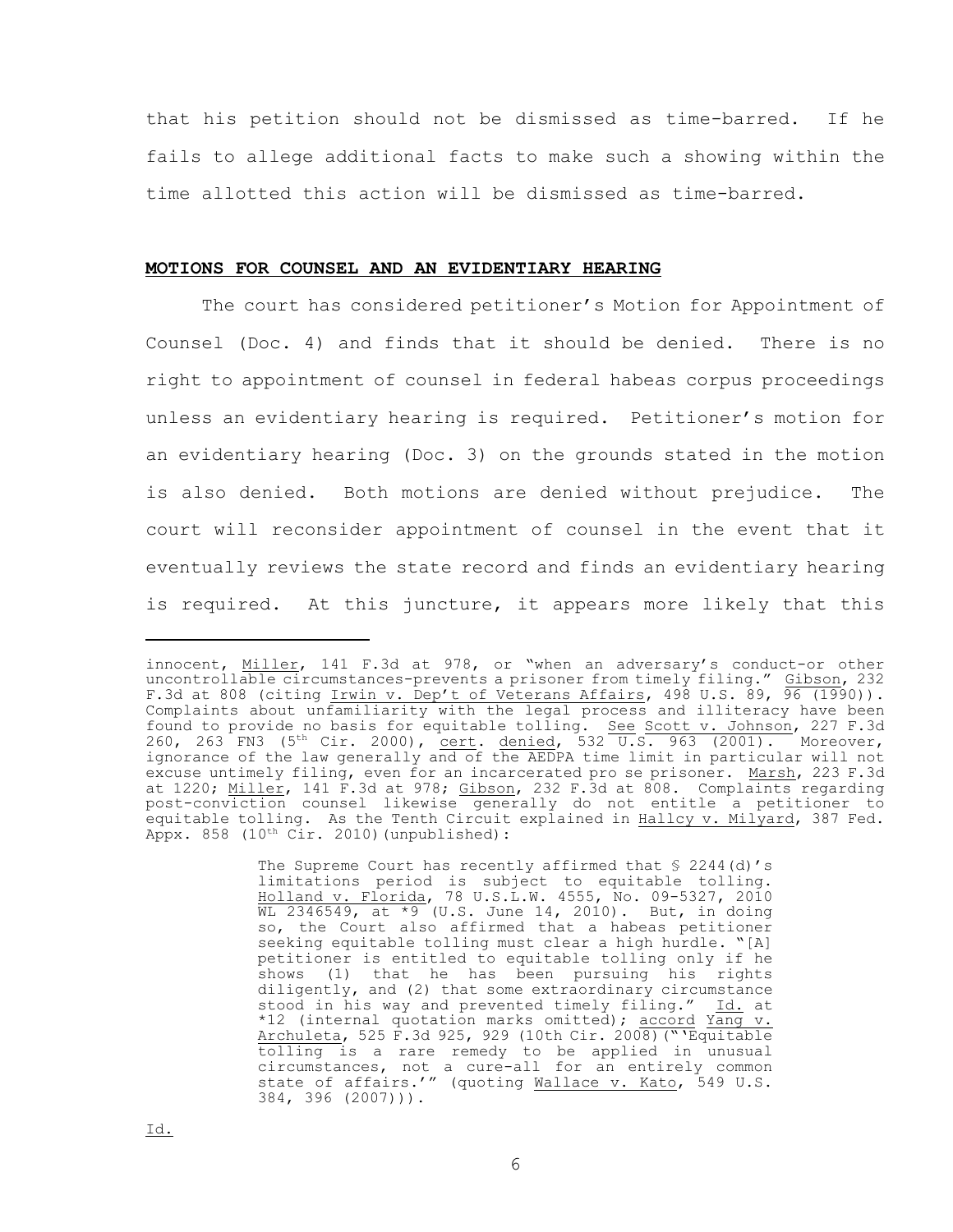that his petition should not be dismissed as time-barred. If he fails to allege additional facts to make such a showing within the time allotted this action will be dismissed as time-barred.

#### **MOTIONS FOR COUNSEL AND AN EVIDENTIARY HEARING**

The court has considered petitioner's Motion for Appointment of Counsel (Doc. 4) and finds that it should be denied. There is no right to appointment of counsel in federal habeas corpus proceedings unless an evidentiary hearing is required. Petitioner's motion for an evidentiary hearing (Doc. 3) on the grounds stated in the motion is also denied. Both motions are denied without prejudice. The court will reconsider appointment of counsel in the event that it eventually reviews the state record and finds an evidentiary hearing is required. At this juncture, it appears more likely that this

The Supreme Court has recently affirmed that § 2244(d)'s limitations period is subject to equitable tolling. Holland v. Florida, 78 U.S.L.W. 4555, No. 09-5327, 2010 WL 2346549, at  $*9$  (U.S. June 14, 2010). But, in doing so, the Court also affirmed that a habeas petitioner seeking equitable tolling must clear a high hurdle. "[A] petitioner is entitled to equitable tolling only if he shows (1) that he has been pursuing his rights diligently, and (2) that some extraordinary circumstance stood in his way and prevented timely filing." Id. at \*12 (internal quotation marks omitted); accord Yang v. Archuleta, 525 F.3d 925, 929 (10th Cir. 2008)("'Equitable tolling is a rare remedy to be applied in unusual circumstances, not a cure-all for an entirely common state of affairs.'" (quoting Wallace v. Kato, 549 U.S. 384, 396 (2007))).

innocent, Miller, 141 F.3d at 978, or "when an adversary's conduct-or other uncontrollable circumstances-prevents a prisoner from timely filing." Gibson, 232 F.3d at 808 (citing Irwin v. Dep't of Veterans Affairs, 498 U.S. 89, 96 (1990)). Complaints about unfamiliarity with the legal process and illiteracy have been found to provide no basis for equitable tolling. See Scott v. Johnson, 227 F.3d 260, 263 FN3 (5<sup>th</sup> Cir. 2000), <u>cert. denied</u>, 532  $\overline{U.S.}$  963 (2001). Moreover, ignorance of the law generally and of the AEDPA time limit in particular will not excuse untimely filing, even for an incarcerated pro se prisoner. Marsh, 223 F.3d at 1220; Miller, 141 F.3d at 978; Gibson, 232 F.3d at 808. Complaints regarding post-conviction counsel likewise generally do not entitle a petitioner to equitable tolling. As the Tenth Circuit explained in Hallcy v. Milyard, 387 Fed. Appx. 858 (10<sup>th</sup> Cir. 2010) (unpublished):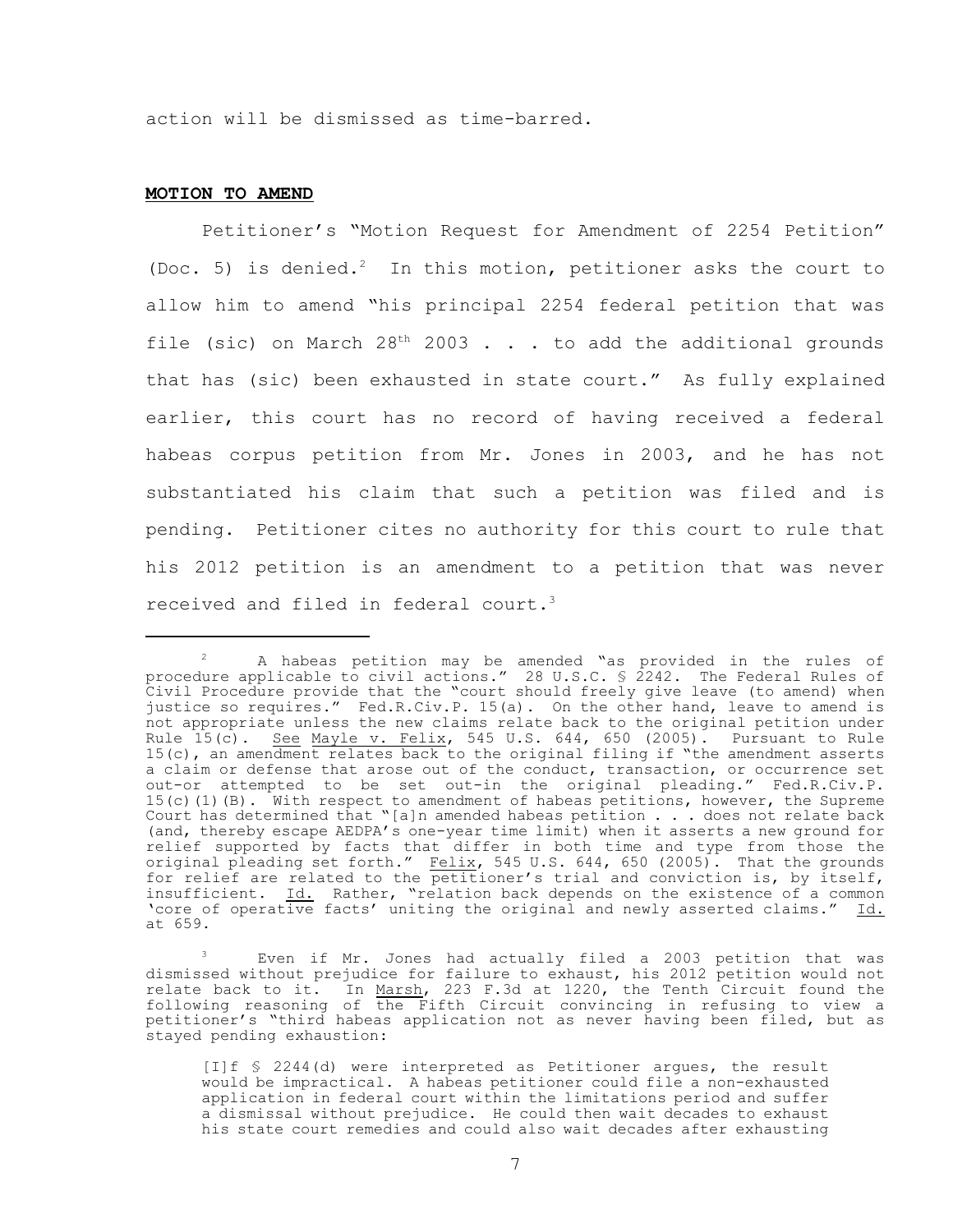action will be dismissed as time-barred.

### **MOTION TO AMEND**

Petitioner's "Motion Request for Amendment of 2254 Petition" (Doc. 5) is denied.<sup>2</sup> In this motion, petitioner asks the court to allow him to amend "his principal 2254 federal petition that was file (sic) on March  $28<sup>th</sup>$  2003 . . . to add the additional grounds that has (sic) been exhausted in state court." As fully explained earlier, this court has no record of having received a federal habeas corpus petition from Mr. Jones in 2003, and he has not substantiated his claim that such a petition was filed and is pending. Petitioner cites no authority for this court to rule that his 2012 petition is an amendment to a petition that was never received and filed in federal court.<sup>3</sup>

Even if Mr. Jones had actually filed a 2003 petition that was dismissed without prejudice for failure to exhaust, his 2012 petition would not relate back to it. In Marsh, 223 F.3d at 1220, the Tenth Circuit found the following reasoning of the Fifth Circuit convincing in refusing to view a petitioner's "third habeas application not as never having been filed, but as stayed pending exhaustion:

A habeas petition may be amended "as provided in the rules of procedure applicable to civil actions." 28 U.S.C. § 2242. The Federal Rules of Civil Procedure provide that the "court should freely give leave (to amend) when justice so requires." Fed.R.Civ.P. 15(a). On the other hand, leave to amend is not appropriate unless the new claims relate back to the original petition under Rule 15(c). <u>See Mayle v. Felix</u>, 545 U.S. 644, 650 (2005). Pursuant to Rule 15(c), an amendment relates back to the original filing if "the amendment asserts a claim or defense that arose out of the conduct, transaction, or occurrence set out-or attempted to be set out-in the original pleading." Fed.R.Civ.P. 15(c)(1)(B). With respect to amendment of habeas petitions, however, the Supreme Court has determined that "[a]n amended habeas petition . . . does not relate back (and, thereby escape AEDPA's one-year time limit) when it asserts a new ground for relief supported by facts that differ in both time and type from those the original pleading set forth." Felix, 545 U.S. 644, 650 (2005). That the grounds for relief are related to the petitioner's trial and conviction is, by itself, insufficient. Id. Rather, "relation back depends on the existence of a common 'core of operative facts' uniting the original and newly asserted claims." Id. at 659.

<sup>[</sup>I]f § 2244(d) were interpreted as Petitioner argues, the result would be impractical. A habeas petitioner could file a non-exhausted application in federal court within the limitations period and suffer a dismissal without prejudice. He could then wait decades to exhaust his state court remedies and could also wait decades after exhausting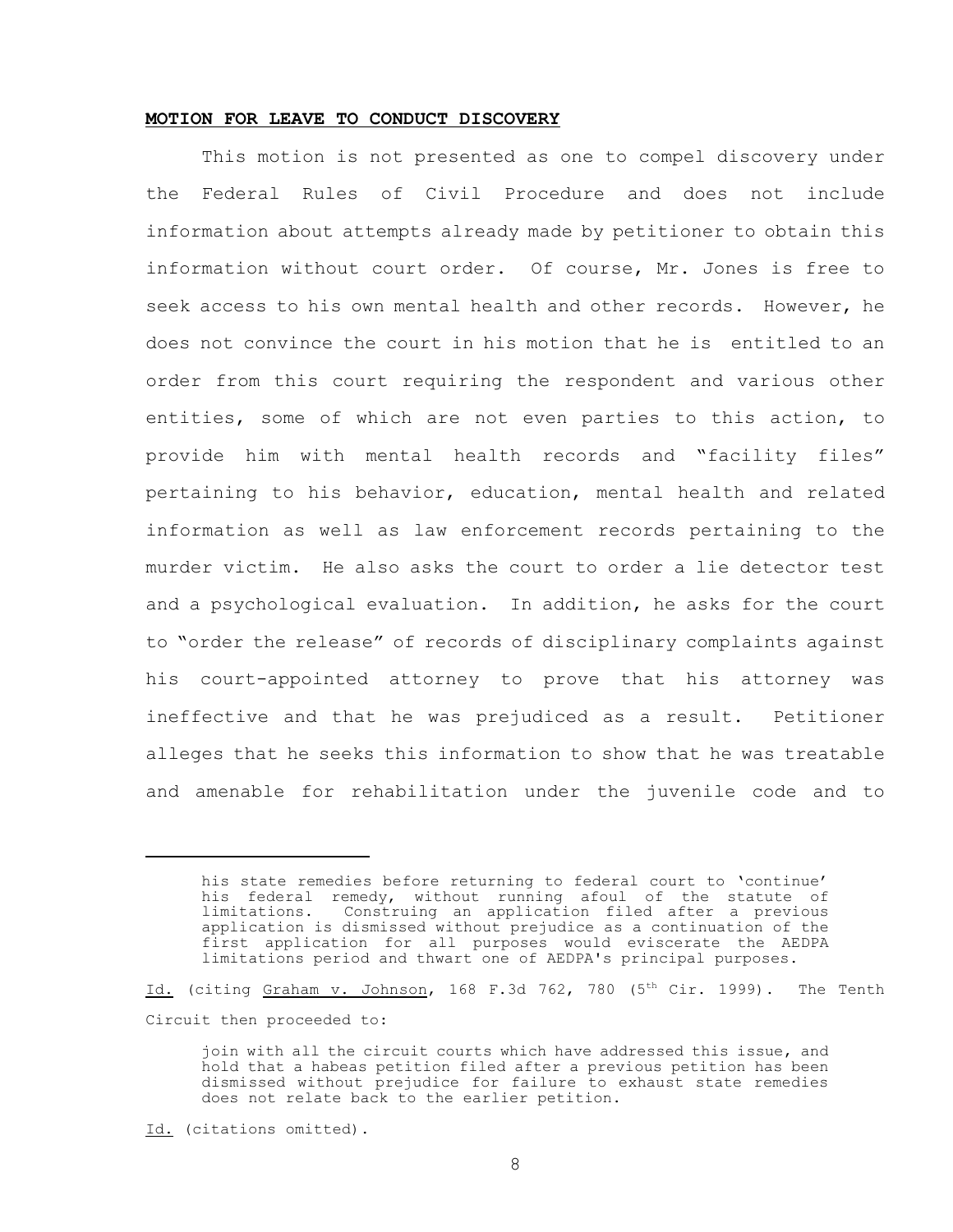### **MOTION FOR LEAVE TO CONDUCT DISCOVERY**

This motion is not presented as one to compel discovery under the Federal Rules of Civil Procedure and does not include information about attempts already made by petitioner to obtain this information without court order. Of course, Mr. Jones is free to seek access to his own mental health and other records. However, he does not convince the court in his motion that he is entitled to an order from this court requiring the respondent and various other entities, some of which are not even parties to this action, to provide him with mental health records and "facility files" pertaining to his behavior, education, mental health and related information as well as law enforcement records pertaining to the murder victim. He also asks the court to order a lie detector test and a psychological evaluation. In addition, he asks for the court to "order the release" of records of disciplinary complaints against his court-appointed attorney to prove that his attorney was ineffective and that he was prejudiced as a result. Petitioner alleges that he seeks this information to show that he was treatable and amenable for rehabilitation under the juvenile code and to

Id. (citing Graham v. Johnson, 168 F.3d 762, 780  $(5<sup>th</sup> Cir. 1999)$ . The Tenth Circuit then proceeded to:

Id. (citations omitted).

his state remedies before returning to federal court to 'continue' his federal remedy, without running afoul of the statute of limitations. Construing an application filed after a previous application is dismissed without prejudice as a continuation of the first application for all purposes would eviscerate the AEDPA limitations period and thwart one of AEDPA's principal purposes.

join with all the circuit courts which have addressed this issue, and hold that a habeas petition filed after a previous petition has been dismissed without prejudice for failure to exhaust state remedies does not relate back to the earlier petition.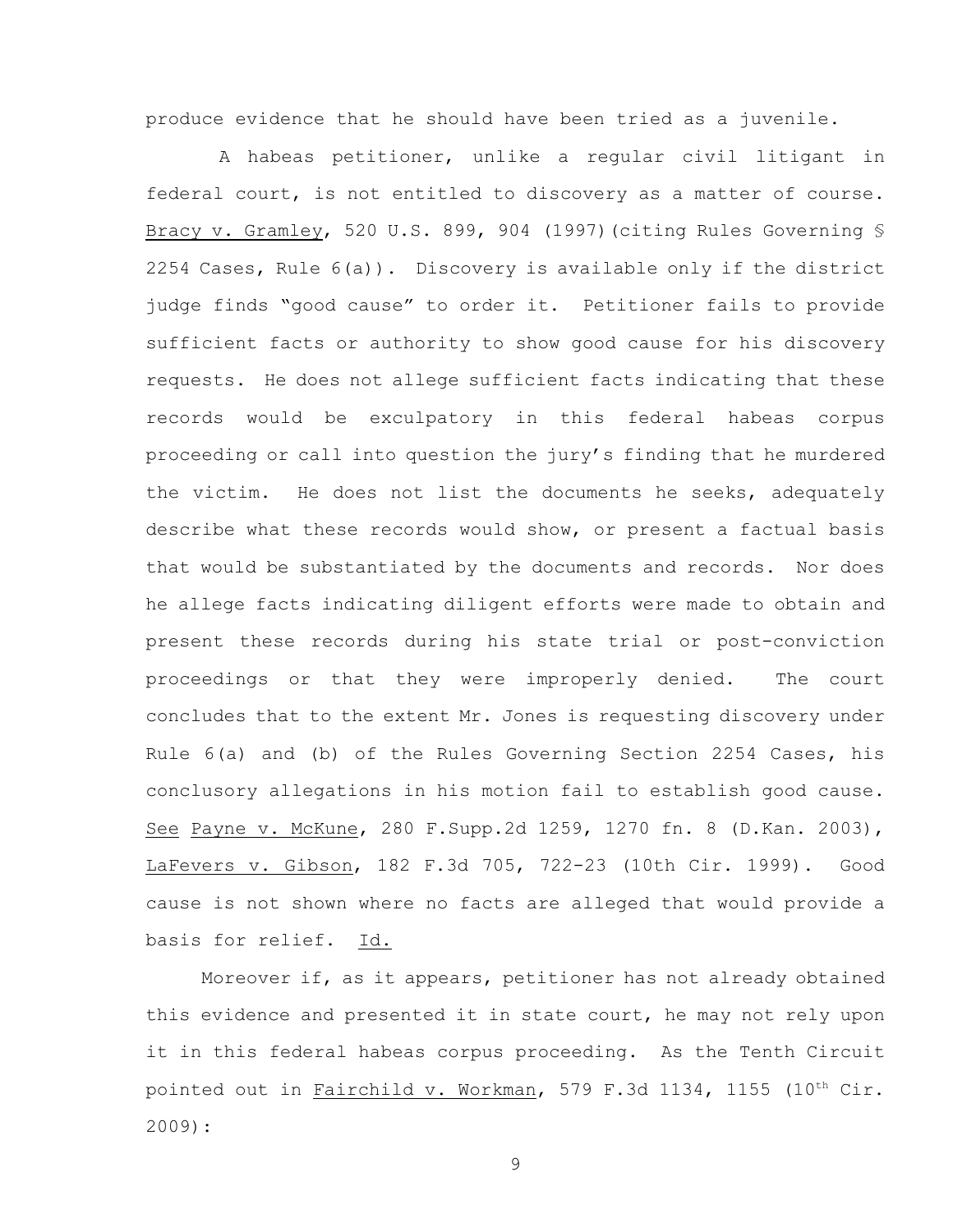produce evidence that he should have been tried as a juvenile.

A habeas petitioner, unlike a regular civil litigant in federal court, is not entitled to discovery as a matter of course. Bracy v. Gramley, 520 U.S. 899, 904 (1997)(citing Rules Governing § 2254 Cases, Rule 6(a)). Discovery is available only if the district judge finds "good cause" to order it. Petitioner fails to provide sufficient facts or authority to show good cause for his discovery requests. He does not allege sufficient facts indicating that these records would be exculpatory in this federal habeas corpus proceeding or call into question the jury's finding that he murdered the victim. He does not list the documents he seeks, adequately describe what these records would show, or present a factual basis that would be substantiated by the documents and records. Nor does he allege facts indicating diligent efforts were made to obtain and present these records during his state trial or post-conviction proceedings or that they were improperly denied. The court concludes that to the extent Mr. Jones is requesting discovery under Rule 6(a) and (b) of the Rules Governing Section 2254 Cases, his conclusory allegations in his motion fail to establish good cause. See Payne v. McKune, 280 F.Supp.2d 1259, 1270 fn. 8 (D.Kan. 2003), LaFevers v. Gibson, 182 F.3d 705, 722-23 (10th Cir. 1999). Good cause is not shown where no facts are alleged that would provide a basis for relief. Id.

Moreover if, as it appears, petitioner has not already obtained this evidence and presented it in state court, he may not rely upon it in this federal habeas corpus proceeding. As the Tenth Circuit pointed out in Fairchild v. Workman, 579 F.3d 1134, 1155  $(10^{th}$  Cir. 2009):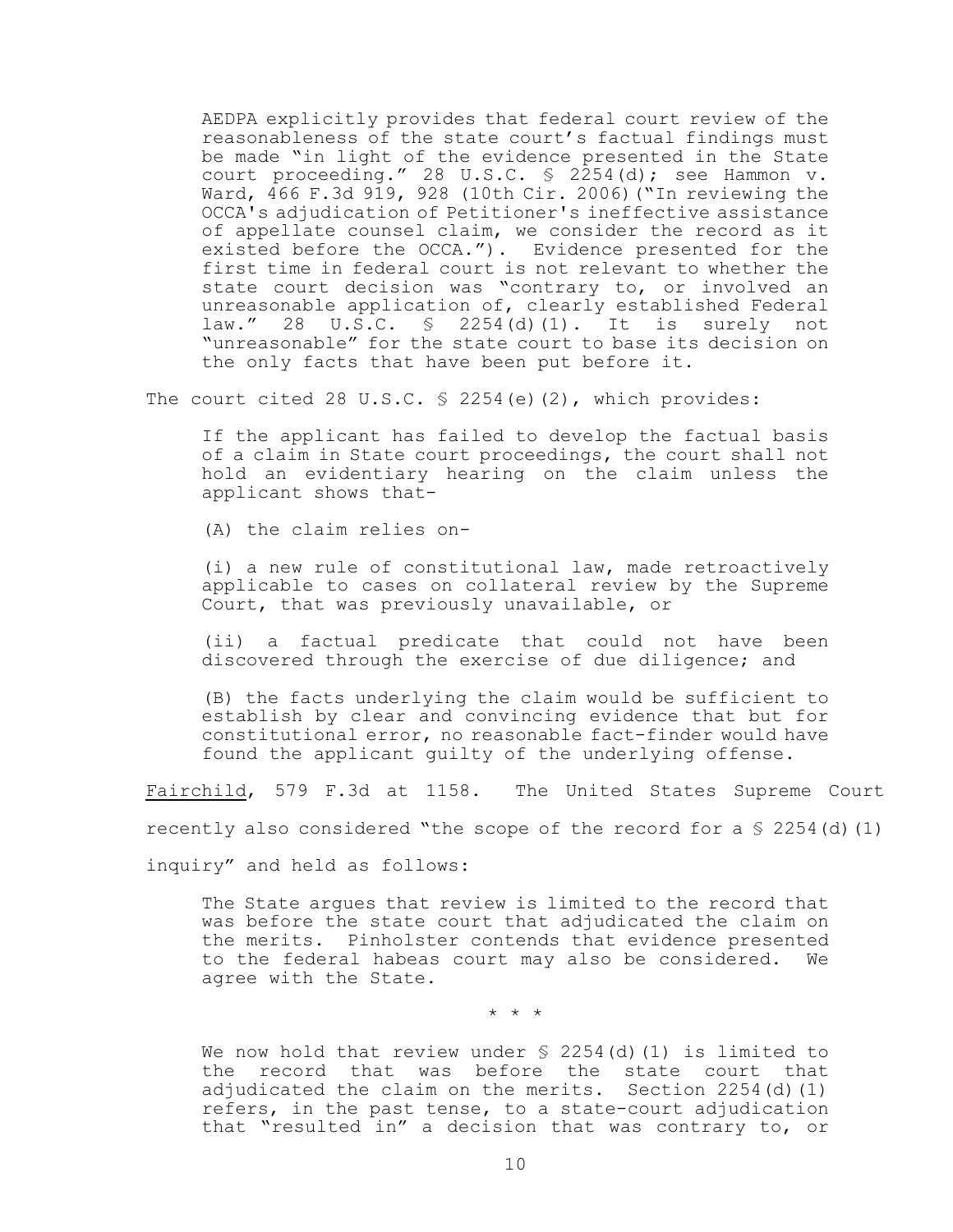AEDPA explicitly provides that federal court review of the reasonableness of the state court's factual findings must be made "in light of the evidence presented in the State court proceeding." 28 U.S.C.  $\frac{1}{2}$  2254(d); see Hammon v. Ward, 466 F.3d 919, 928 (10th Cir. 2006)("In reviewing the OCCA's adjudication of Petitioner's ineffective assistance of appellate counsel claim, we consider the record as it existed before the OCCA."). Evidence presented for the first time in federal court is not relevant to whether the state court decision was "contrary to, or involved an unreasonable application of, clearly established Federal law." 28 U.S.C. § 2254(d)(1). It is surely not "unreasonable" for the state court to base its decision on the only facts that have been put before it.

The court cited 28 U.S.C.  $\frac{1}{2}$  2254(e)(2), which provides:

If the applicant has failed to develop the factual basis of a claim in State court proceedings, the court shall not hold an evidentiary hearing on the claim unless the applicant shows that-

(A) the claim relies on-

(i) a new rule of constitutional law, made retroactively applicable to cases on collateral review by the Supreme Court, that was previously unavailable, or

(ii) a factual predicate that could not have been discovered through the exercise of due diligence; and

(B) the facts underlying the claim would be sufficient to establish by clear and convincing evidence that but for constitutional error, no reasonable fact-finder would have found the applicant guilty of the underlying offense.

Fairchild, 579 F.3d at 1158. The United States Supreme Court

recently also considered "the scope of the record for a  $\Im$  2254(d)(1)

inquiry" and held as follows:

The State argues that review is limited to the record that was before the state court that adjudicated the claim on the merits. Pinholster contends that evidence presented to the federal habeas court may also be considered. We agree with the State.

\* \* \*

We now hold that review under  $\frac{1}{2}$  2254(d)(1) is limited to the record that was before the state court that adjudicated the claim on the merits. Section 2254(d)(1) refers, in the past tense, to a state-court adjudication that "resulted in" a decision that was contrary to, or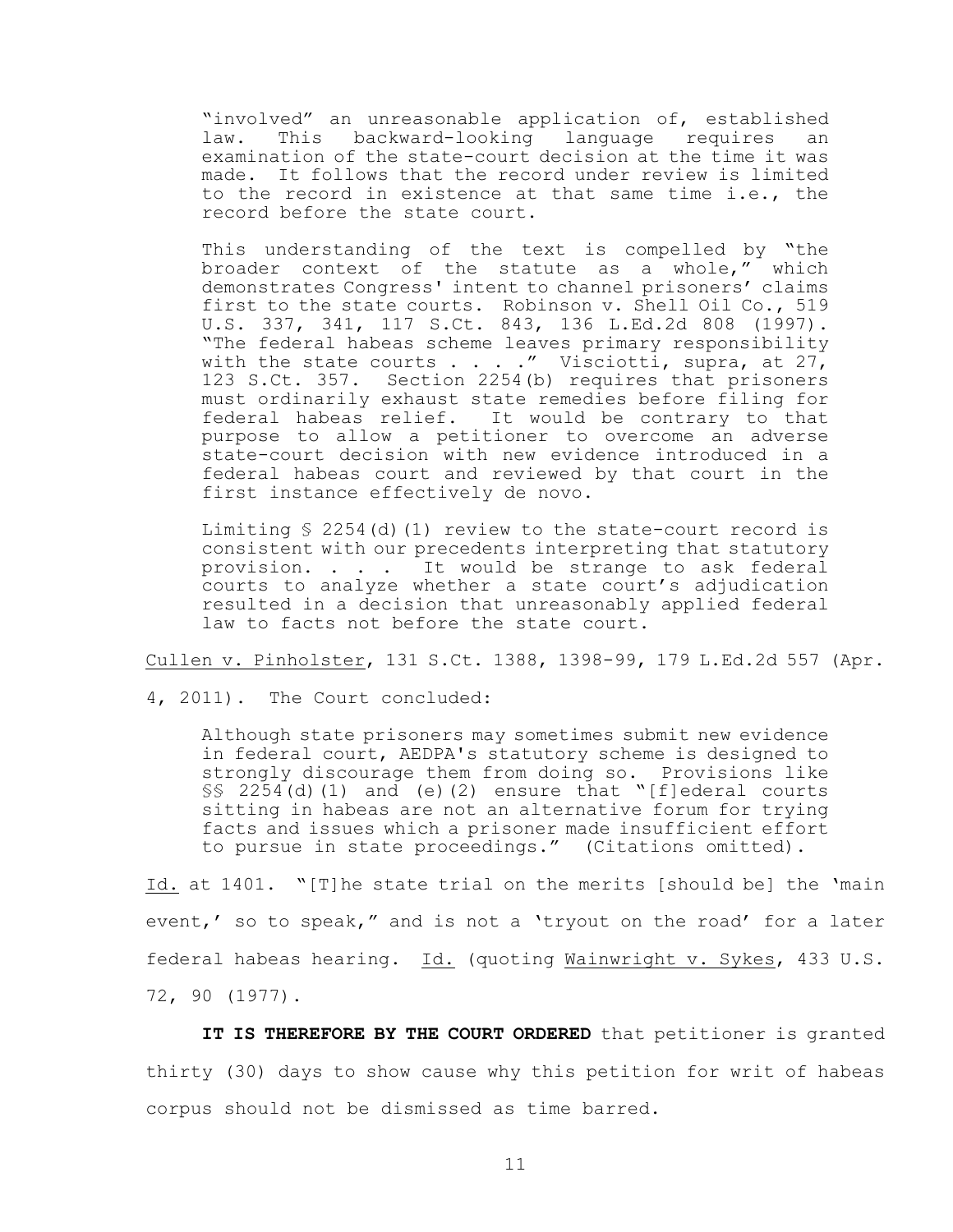"involved" an unreasonable application of, established law. This backward-looking language requires an examination of the state-court decision at the time it was made. It follows that the record under review is limited to the record in existence at that same time i.e., the record before the state court.

This understanding of the text is compelled by "the broader context of the statute as a whole," which demonstrates Congress' intent to channel prisoners' claims first to the state courts. Robinson v. Shell Oil Co., 519 U.S. 337, 341, 117 S.Ct. 843, 136 L.Ed.2d 808 (1997). "The federal habeas scheme leaves primary responsibility with the state courts  $\ldots$  ." Visciotti, supra, at 27, 123 S.Ct. 357. Section 2254(b) requires that prisoners must ordinarily exhaust state remedies before filing for federal habeas relief. It would be contrary to that purpose to allow a petitioner to overcome an adverse state-court decision with new evidence introduced in a federal habeas court and reviewed by that court in the first instance effectively de novo.

Limiting  $\frac{1}{2}$  2254(d)(1) review to the state-court record is consistent with our precedents interpreting that statutory provision. . . . It would be strange to ask federal courts to analyze whether a state court's adjudication resulted in a decision that unreasonably applied federal law to facts not before the state court.

Cullen v. Pinholster, 131 S.Ct. 1388, 1398-99, 179 L.Ed.2d 557 (Apr.

4, 2011). The Court concluded:

Although state prisoners may sometimes submit new evidence in federal court, AEDPA's statutory scheme is designed to strongly discourage them from doing so. Provisions like  $\S$ § 2254(d)(1) and (e)(2) ensure that "[f]ederal courts sitting in habeas are not an alternative forum for trying facts and issues which a prisoner made insufficient effort to pursue in state proceedings." (Citations omitted).

Id. at 1401. "[T]he state trial on the merits [should be] the 'main event,' so to speak," and is not a 'tryout on the road' for a later federal habeas hearing. Id. (quoting Wainwright v. Sykes, 433 U.S. 72, 90 (1977).

**IT IS THEREFORE BY THE COURT ORDERED** that petitioner is granted thirty (30) days to show cause why this petition for writ of habeas corpus should not be dismissed as time barred.